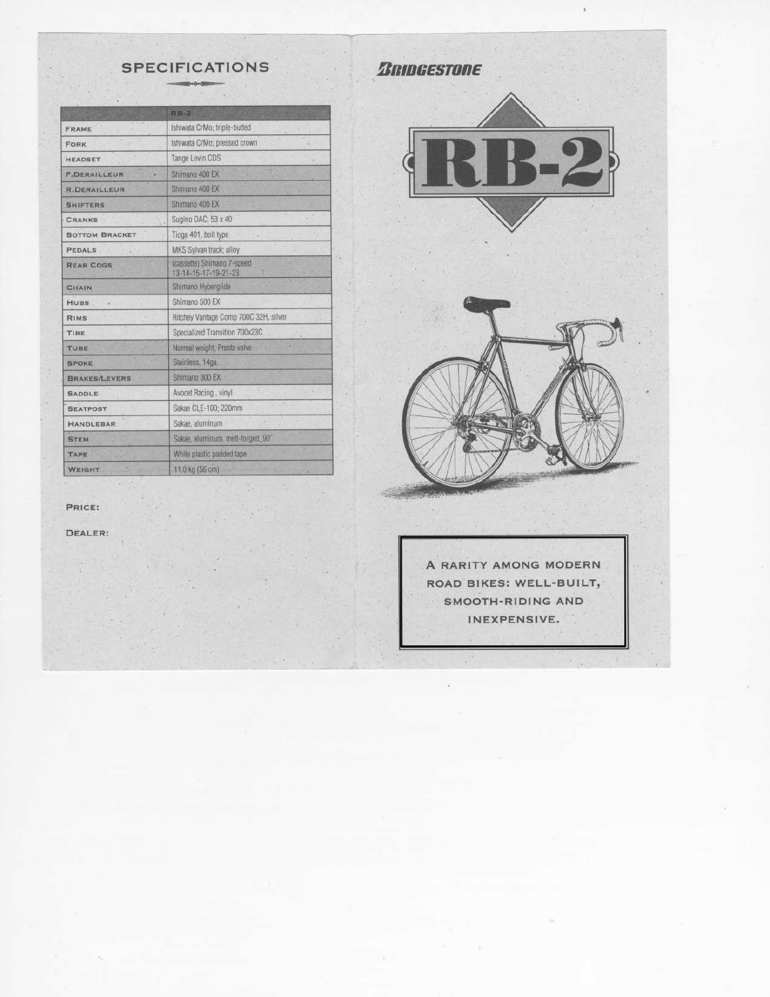# **SPECIFICATIONS**

|                       | <b>RB-2</b>                                        |
|-----------------------|----------------------------------------------------|
| FRAME                 | Ishiwata CrMo; triple-butted                       |
| FORK                  | Ishiwata CrMo; pressed crown                       |
| <b>HEADSET</b>        | Tange Levin CDS                                    |
| <b>F.DERAILLEUR</b>   | Shimano 400 EX                                     |
| <b>R.DERAILLEUR</b>   | Shimano 400 EX                                     |
| <b>SHIFTERS</b>       | Shimano 400 EX                                     |
| <b>CRANKS</b>         | Sugino DAC; 53 x 40                                |
| <b>BOTTOM BRACKET</b> | Tioga 401, bolt type                               |
| <b>PEDALS</b>         | MKS Sylvan track: alloy                            |
| <b>REAR COGS</b>      | (cassette) Shimano 7-speed<br>13-14-15-17-19-21-23 |
| CHAIN                 | Shimano Hyperglide                                 |
| <b>HUBS</b>           | Shimano 500 EX                                     |
| RIMS                  | Ritchey Vantage Comp 700C 32H, silver              |
| TIRE                  | Specialized Transition 700x23C                     |
| TUBE                  | Normal weight, Presta valve                        |
| <b>SPOKE</b>          | Stainless, 14ga.                                   |
| <b>BRAKES/LEVERS</b>  | Shimano 300 EX                                     |
| <b>SADDLE</b>         | Avocet Racing . vinyl                              |
| <b>SEATPOST</b>       | Sakae CLE-100; 220mm                               |
| HANDLEBAR             | Sakae, aluminum                                    |
| <b>STEM</b>           | Sakae, aluminum, melt-forged, 90°                  |
| TAPE                  | White plastic padded tape                          |
| <b>WEIGHT</b>         | 11.0 kg (56 cm)                                    |

**ZRIDGESTORE** 





PRICE:

DEALER:

A RARITY AMONG MODERN ROAD BIKES: WELL-BUILT, SMOOTH-RIDING AND INEXPENSIVE.